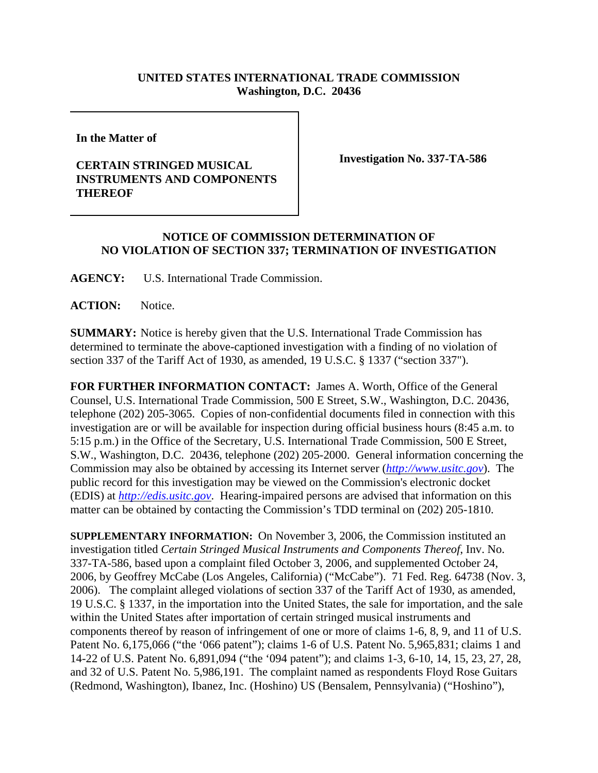## **UNITED STATES INTERNATIONAL TRADE COMMISSION Washington, D.C. 20436**

**In the Matter of**

## **CERTAIN STRINGED MUSICAL INSTRUMENTS AND COMPONENTS THEREOF**

**Investigation No. 337-TA-586**

## **NOTICE OF COMMISSION DETERMINATION OF NO VIOLATION OF SECTION 337; TERMINATION OF INVESTIGATION**

**AGENCY:** U.S. International Trade Commission.

**ACTION:** Notice.

**SUMMARY:** Notice is hereby given that the U.S. International Trade Commission has determined to terminate the above-captioned investigation with a finding of no violation of section 337 of the Tariff Act of 1930, as amended, 19 U.S.C. § 1337 ("section 337").

**FOR FURTHER INFORMATION CONTACT:** James A. Worth, Office of the General Counsel, U.S. International Trade Commission, 500 E Street, S.W., Washington, D.C. 20436, telephone (202) 205-3065. Copies of non-confidential documents filed in connection with this investigation are or will be available for inspection during official business hours (8:45 a.m. to 5:15 p.m.) in the Office of the Secretary, U.S. International Trade Commission, 500 E Street, S.W., Washington, D.C. 20436, telephone (202) 205-2000. General information concerning the Commission may also be obtained by accessing its Internet server (*http://www.usitc.gov*). The public record for this investigation may be viewed on the Commission's electronic docket (EDIS) at *http://edis.usitc.gov*. Hearing-impaired persons are advised that information on this matter can be obtained by contacting the Commission's TDD terminal on (202) 205-1810.

**SUPPLEMENTARY INFORMATION:** On November 3, 2006, the Commission instituted an investigation titled *Certain Stringed Musical Instruments and Components Thereof*, Inv. No. 337-TA-586, based upon a complaint filed October 3, 2006, and supplemented October 24, 2006, by Geoffrey McCabe (Los Angeles, California) ("McCabe"). 71 Fed. Reg. 64738 (Nov. 3, 2006). The complaint alleged violations of section 337 of the Tariff Act of 1930, as amended, 19 U.S.C. § 1337, in the importation into the United States, the sale for importation, and the sale within the United States after importation of certain stringed musical instruments and components thereof by reason of infringement of one or more of claims 1-6, 8, 9, and 11 of U.S. Patent No. 6,175,066 ("the '066 patent"); claims 1-6 of U.S. Patent No. 5,965,831; claims 1 and 14-22 of U.S. Patent No. 6,891,094 ("the '094 patent"); and claims 1-3, 6-10, 14, 15, 23, 27, 28, and 32 of U.S. Patent No. 5,986,191. The complaint named as respondents Floyd Rose Guitars (Redmond, Washington), Ibanez, Inc. (Hoshino) US (Bensalem, Pennsylvania) ("Hoshino"),